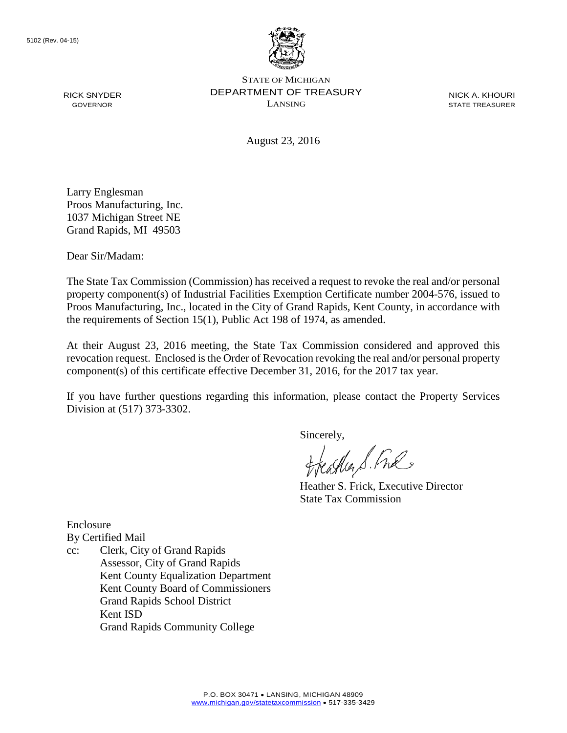

STATE OF MICHIGAN DEPARTMENT OF TREASURY LANSING

NICK A. KHOURI STATE TREASURER

August 23, 2016

Larry Englesman Proos Manufacturing, Inc. 1037 Michigan Street NE Grand Rapids, MI 49503

Dear Sir/Madam:

RICK SNYDER GOVERNOR

The State Tax Commission (Commission) has received a request to revoke the real and/or personal property component(s) of Industrial Facilities Exemption Certificate number 2004-576, issued to Proos Manufacturing, Inc., located in the City of Grand Rapids, Kent County, in accordance with the requirements of Section 15(1), Public Act 198 of 1974, as amended.

At their August 23, 2016 meeting, the State Tax Commission considered and approved this revocation request. Enclosed is the Order of Revocation revoking the real and/or personal property component(s) of this certificate effective December 31, 2016, for the 2017 tax year.

If you have further questions regarding this information, please contact the Property Services Division at (517) 373-3302.

Sincerely,

eastler S. Ful

Heather S. Frick, Executive Director State Tax Commission

Enclosure By Certified Mail

cc: Clerk, City of Grand Rapids Assessor, City of Grand Rapids Kent County Equalization Department Kent County Board of Commissioners Grand Rapids School District Kent ISD Grand Rapids Community College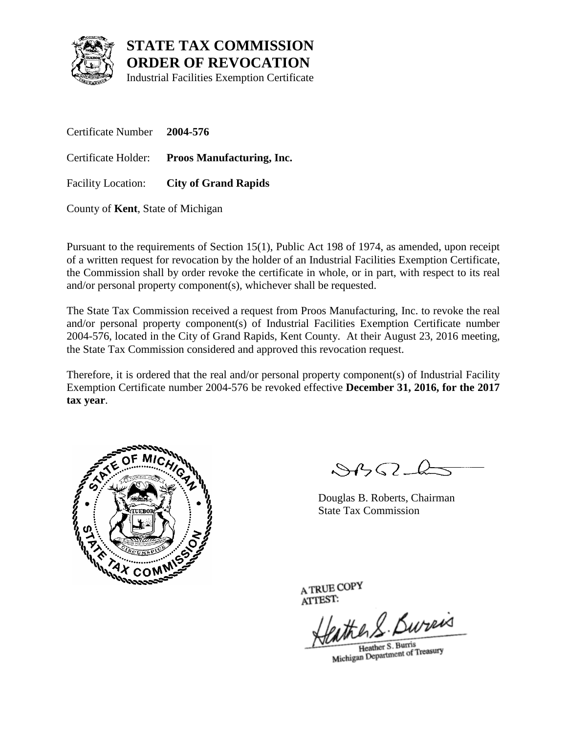

## **STATE TAX COMMISSION ORDER OF REVOCATION**

Industrial Facilities Exemption Certificate

Certificate Number **2004-576** Certificate Holder: **Proos Manufacturing, Inc.** Facility Location: **City of Grand Rapids**

County of **Kent**, State of Michigan

Pursuant to the requirements of Section 15(1), Public Act 198 of 1974, as amended, upon receipt of a written request for revocation by the holder of an Industrial Facilities Exemption Certificate, the Commission shall by order revoke the certificate in whole, or in part, with respect to its real and/or personal property component(s), whichever shall be requested.

The State Tax Commission received a request from Proos Manufacturing, Inc. to revoke the real and/or personal property component(s) of Industrial Facilities Exemption Certificate number 2004-576, located in the City of Grand Rapids, Kent County. At their August 23, 2016 meeting, the State Tax Commission considered and approved this revocation request.

Therefore, it is ordered that the real and/or personal property component(s) of Industrial Facility Exemption Certificate number 2004-576 be revoked effective **December 31, 2016, for the 2017 tax year**.



 $\mathcal{S}4\mathcal{G}$ 

Douglas B. Roberts, Chairman State Tax Commission

A TRUE COPY ATTEST:

athers Bureas

Heather S. Burris Heather S. Burns<br>Michigan Department of Treasury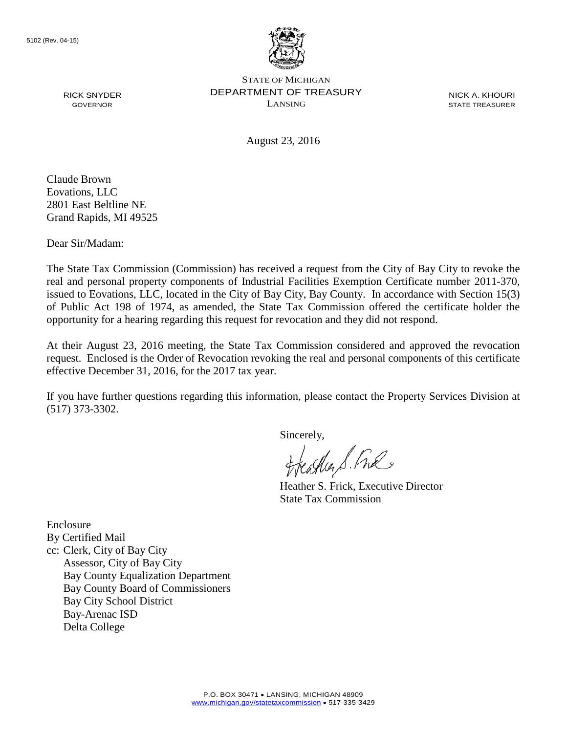

STATE OF MICHIGAN DEPARTMENT OF TREASURY LANSING

NICK A. KHOURI STATE TREASURER

August 23, 2016

Claude Brown Eovations, LLC 2801 East Beltline NE Grand Rapids, MI 49525

RICK SNYDER GOVERNOR

Dear Sir/Madam:

The State Tax Commission (Commission) has received a request from the City of Bay City to revoke the real and personal property components of Industrial Facilities Exemption Certificate number 2011-370, issued to Eovations, LLC, located in the City of Bay City, Bay County. In accordance with Section 15(3) of Public Act 198 of 1974, as amended, the State Tax Commission offered the certificate holder the opportunity for a hearing regarding this request for revocation and they did not respond.

At their August 23, 2016 meeting, the State Tax Commission considered and approved the revocation request. Enclosed is the Order of Revocation revoking the real and personal components of this certificate effective December 31, 2016, for the 2017 tax year.

If you have further questions regarding this information, please contact the Property Services Division at (517) 373-3302.

Sincerely,

eagher S. Free

Heather S. Frick, Executive Director State Tax Commission

Enclosure By Certified Mail cc: Clerk, City of Bay City Assessor, City of Bay City Bay County Equalization Department Bay County Board of Commissioners Bay City School District Bay-Arenac ISD Delta College